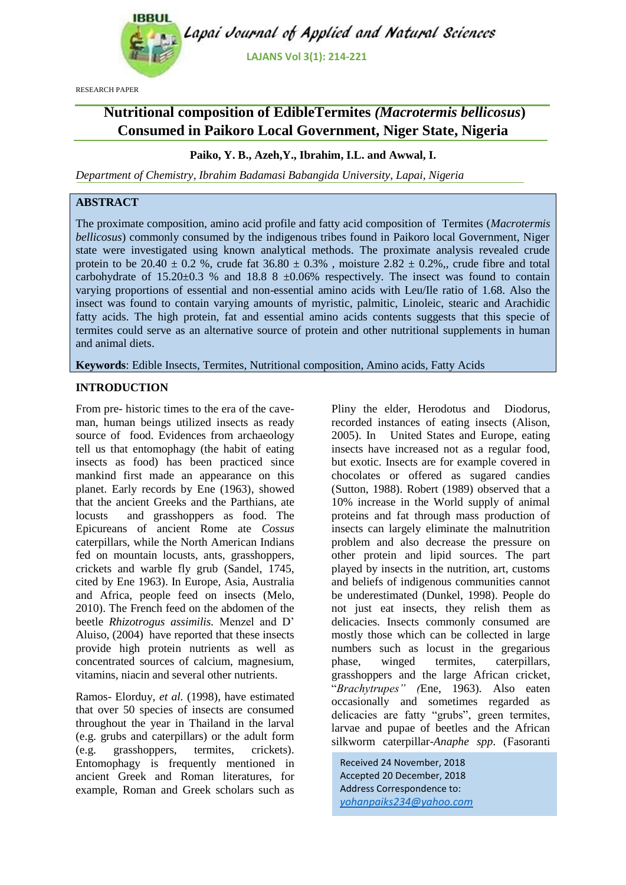

RESEARCH PAPER

# **Nutritional composition of EdibleTermites** *(Macrotermis bellicosus***) Consumed in Paikoro Local Government, Niger State, Nigeria**

# **Paiko, Y. B., Azeh,Y., Ibrahim, I.L. and Awwal, I.**

*Department of Chemistry, Ibrahim Badamasi Babangida University, Lapai, Nigeria*

# **ABSTRACT**

The proximate composition, amino acid profile and fatty acid composition of Termites (*Macrotermis bellicosus*) commonly consumed by the indigenous tribes found in Paikoro local Government, Niger state were investigated using known analytical methods. The proximate analysis revealed crude protein to be 20.40  $\pm$  0.2 %, crude fat 36.80  $\pm$  0.3%, moisture 2.82  $\pm$  0.2%, crude fibre and total carbohydrate of  $15.20 \pm 0.3$  % and  $18.8$  8  $\pm 0.06$ % respectively. The insect was found to contain varying proportions of essential and non-essential amino acids with Leu/Ile ratio of 1.68. Also the insect was found to contain varying amounts of myristic, palmitic, Linoleic, stearic and Arachidic fatty acids. The high protein, fat and essential amino acids contents suggests that this specie of termites could serve as an alternative source of protein and other nutritional supplements in human and animal diets.

**Keywords**: Edible Insects, Termites, Nutritional composition, Amino acids, Fatty Acids

## **INTRODUCTION**

From pre- historic times to the era of the caveman, human beings utilized insects as ready source of food. Evidences from archaeology tell us that entomophagy (the habit of eating insects as food) has been practiced since mankind first made an appearance on this planet. Early records by Ene (1963), showed that the ancient Greeks and the Parthians, ate locusts and grasshoppers as food. The Epicureans of ancient Rome ate *Cossus* caterpillars, while the North American Indians fed on mountain locusts, ants, grasshoppers, crickets and warble fly grub (Sandel, 1745, cited by Ene 1963). In Europe, Asia, Australia and Africa, people feed on insects (Melo, 2010). The French feed on the abdomen of the beetle *Rhizotrogus assimilis.* Menzel and D' Aluiso, (2004) have reported that these insects provide high protein nutrients as well as concentrated sources of calcium, magnesium, vitamins, niacin and several other nutrients.

Ramos- Elorduy, *et al.* (1998), have estimated that over 50 species of insects are consumed throughout the year in Thailand in the larval (e.g. grubs and caterpillars) or the adult form (e.g. grasshoppers, termites, crickets). Entomophagy is frequently mentioned in ancient Greek and Roman literatures, for example, Roman and Greek scholars such as

Pliny the elder, Herodotus and Diodorus, recorded instances of eating insects (Alison, 2005). In United States and Europe, eating insects have increased not as a regular food, but exotic. Insects are for example covered in chocolates or offered as sugared candies (Sutton, 1988). Robert (1989) observed that a 10% increase in the World supply of animal proteins and fat through mass production of insects can largely eliminate the malnutrition problem and also decrease the pressure on other protein and lipid sources. The part played by insects in the nutrition, art, customs and beliefs of indigenous communities cannot be underestimated (Dunkel, 1998). People do not just eat insects, they relish them as delicacies. Insects commonly consumed are mostly those which can be collected in large numbers such as locust in the gregarious phase, winged termites, caterpillars, grasshoppers and the large African cricket, "*Brachytrupes" (*Ene, 1963)*.* Also eaten occasionally and sometimes regarded as delicacies are fatty "grubs", green termites, larvae and pupae of beetles and the African silkworm caterpillar-*Anaphe spp*. (Fasoranti

Received 24 November, 2018 Accepted 20 December, 2018 Address Correspondence to: *yohanpaiks234@yahoo.com*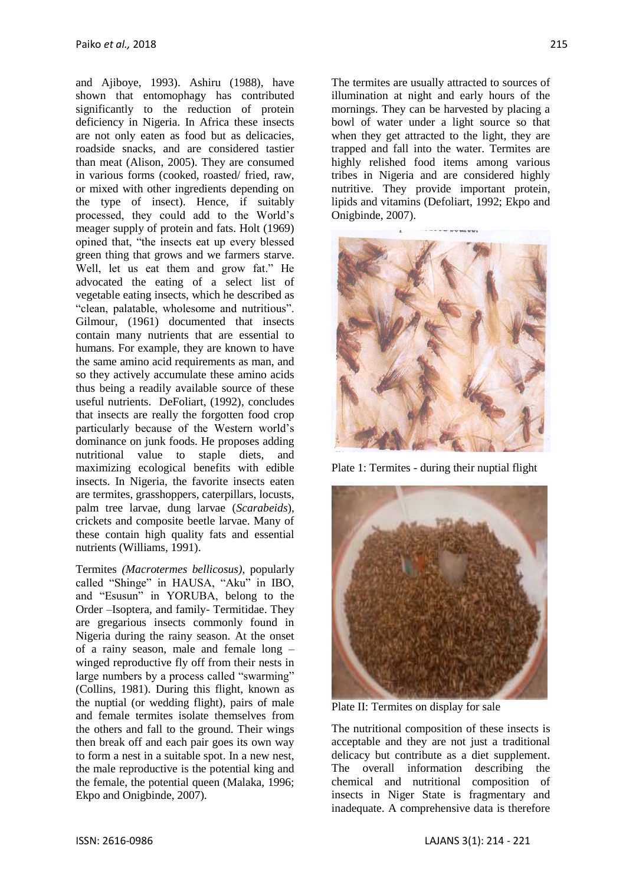and Ajiboye, 1993). Ashiru (1988), have shown that entomophagy has contributed significantly to the reduction of protein deficiency in Nigeria. In Africa these insects are not only eaten as food but as delicacies, roadside snacks, and are considered tastier than meat (Alison, 2005). They are consumed in various forms (cooked, roasted/ fried, raw, or mixed with other ingredients depending on the type of insect). Hence, if suitably processed, they could add to the World's meager supply of protein and fats. Holt (1969) opined that, "the insects eat up every blessed green thing that grows and we farmers starve. Well, let us eat them and grow fat." He advocated the eating of a select list of vegetable eating insects, which he described as "clean, palatable, wholesome and nutritious". Gilmour, (1961) documented that insects contain many nutrients that are essential to humans. For example, they are known to have the same amino acid requirements as man, and so they actively accumulate these amino acids thus being a readily available source of these useful nutrients. DeFoliart, (1992), concludes that insects are really the forgotten food crop particularly because of the Western world's dominance on junk foods. He proposes adding nutritional value to staple diets, and maximizing ecological benefits with edible insects. In Nigeria, the favorite insects eaten are termites, grasshoppers, caterpillars, locusts, palm tree larvae, dung larvae (*Scarabeids*), crickets and composite beetle larvae. Many of these contain high quality fats and essential nutrients (Williams, 1991).

Termites *(Macrotermes bellicosus)*, popularly called "Shinge" in HAUSA, "Aku" in IBO, and "Esusun" in YORUBA, belong to the Order –Isoptera, and family- Termitidae. They are gregarious insects commonly found in Nigeria during the rainy season. At the onset of a rainy season, male and female long – winged reproductive fly off from their nests in large numbers by a process called "swarming" (Collins, 1981). During this flight, known as the nuptial (or wedding flight), pairs of male and female termites isolate themselves from the others and fall to the ground. Their wings then break off and each pair goes its own way to form a nest in a suitable spot. In a new nest, the male reproductive is the potential king and the female, the potential queen (Malaka, 1996; Ekpo and Onigbinde, 2007).

The termites are usually attracted to sources of illumination at night and early hours of the mornings. They can be harvested by placing a bowl of water under a light source so that when they get attracted to the light, they are trapped and fall into the water. Termites are highly relished food items among various tribes in Nigeria and are considered highly nutritive. They provide important protein, lipids and vitamins (Defoliart, 1992; Ekpo and Onigbinde, 2007).



Plate 1: Termites *-* during their nuptial flight



Plate II: Termites on display for sale

The nutritional composition of these insects is acceptable and they are not just a traditional delicacy but contribute as a diet supplement. The overall information describing the chemical and nutritional composition of insects in Niger State is fragmentary and inadequate. A comprehensive data is therefore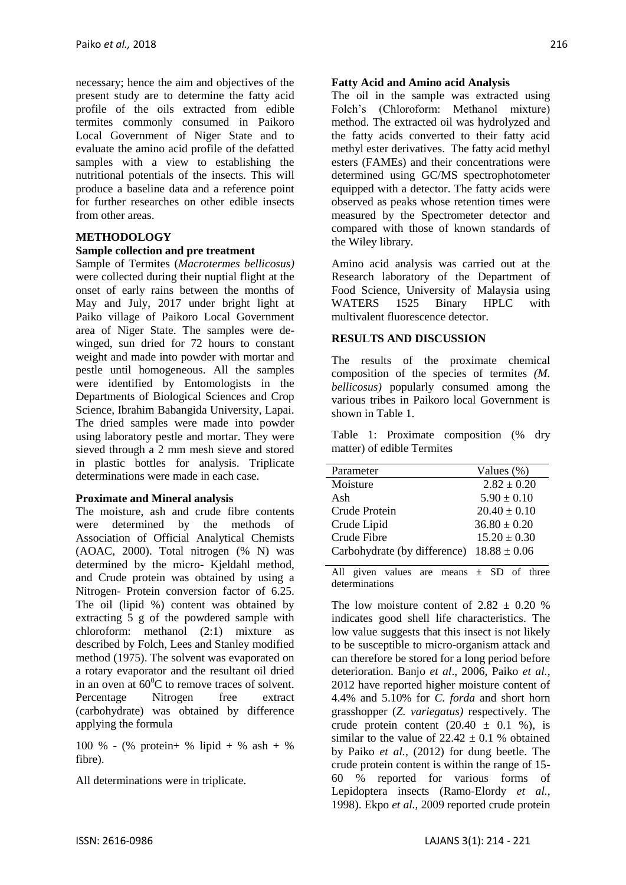necessary; hence the aim and objectives of the present study are to determine the fatty acid profile of the oils extracted from edible termites commonly consumed in Paikoro Local Government of Niger State and to evaluate the amino acid profile of the defatted samples with a view to establishing the nutritional potentials of the insects. This will produce a baseline data and a reference point for further researches on other edible insects from other areas.

#### **METHODOLOGY**

#### **Sample collection and pre treatment**

Sample of Termites (*Macrotermes bellicosus)* were collected during their nuptial flight at the onset of early rains between the months of May and July, 2017 under bright light at Paiko village of Paikoro Local Government area of Niger State. The samples were dewinged, sun dried for 72 hours to constant weight and made into powder with mortar and pestle until homogeneous. All the samples were identified by Entomologists in the Departments of Biological Sciences and Crop Science, Ibrahim Babangida University, Lapai. The dried samples were made into powder using laboratory pestle and mortar. They were sieved through a 2 mm mesh sieve and stored in plastic bottles for analysis. Triplicate determinations were made in each case.

#### **Proximate and Mineral analysis**

The moisture, ash and crude fibre contents were determined by the methods of Association of Official Analytical Chemists (AOAC, 2000). Total nitrogen (% N) was determined by the micro- Kjeldahl method, and Crude protein was obtained by using a Nitrogen- Protein conversion factor of 6.25. The oil (lipid %) content was obtained by extracting 5 g of the powdered sample with chloroform: methanol (2:1) mixture as described by Folch, Lees and Stanley modified method (1975). The solvent was evaporated on a rotary evaporator and the resultant oil dried in an oven at  $60^{\circ}$ C to remove traces of solvent. Percentage Nitrogen free extract (carbohydrate) was obtained by difference applying the formula

100 % - (% protein+ % lipid + % ash + % fibre).

All determinations were in triplicate.

#### **Fatty Acid and Amino acid Analysis**

The oil in the sample was extracted using Folch's (Chloroform: Methanol mixture) method. The extracted oil was hydrolyzed and the fatty acids converted to their fatty acid methyl ester derivatives. The fatty acid methyl esters (FAMEs) and their concentrations were determined using GC/MS spectrophotometer equipped with a detector. The fatty acids were observed as peaks whose retention times were measured by the Spectrometer detector and compared with those of known standards of the Wiley library.

Amino acid analysis was carried out at the Research laboratory of the Department of Food Science, University of Malaysia using WATERS 1525 Binary HPLC with multivalent fluorescence detector.

#### **RESULTS AND DISCUSSION**

The results of the proximate chemical composition of the species of termites *(M. bellicosus)* popularly consumed among the various tribes in Paikoro local Government is shown in Table 1.

Table 1: Proximate composition (% dry matter) of edible Termites

| Parameter                    | Values $(\%)$    |  |  |
|------------------------------|------------------|--|--|
| Moisture                     | $2.82 \pm 0.20$  |  |  |
| Ash                          | $5.90 \pm 0.10$  |  |  |
| Crude Protein                | $20.40 \pm 0.10$ |  |  |
| Crude Lipid                  | $36.80 \pm 0.20$ |  |  |
| Crude Fibre                  | $15.20 \pm 0.30$ |  |  |
| Carbohydrate (by difference) | $18.88 \pm 0.06$ |  |  |
|                              |                  |  |  |

All given values are means  $\pm$  SD of three determinations

The low moisture content of  $2.82 \pm 0.20$  % indicates good shell life characteristics. The low value suggests that this insect is not likely to be susceptible to micro-organism attack and can therefore be stored for a long period before deterioration. Banjo *et al*., 2006, Paiko *et al.,* 2012 have reported higher moisture content of 4.4% and 5.10% for *C. forda* and short horn grasshopper (*Z. variegatus)* respectively. The crude protein content  $(20.40 \pm 0.1 \%)$ , is similar to the value of  $22.42 \pm 0.1$  % obtained by Paiko *et al.,* (2012) for dung beetle. The crude protein content is within the range of 15- 60 % reported for various forms of Lepidoptera insects (Ramo-Elordy *et al.,* 1998). Ekpo *et al.,* 2009 reported crude protein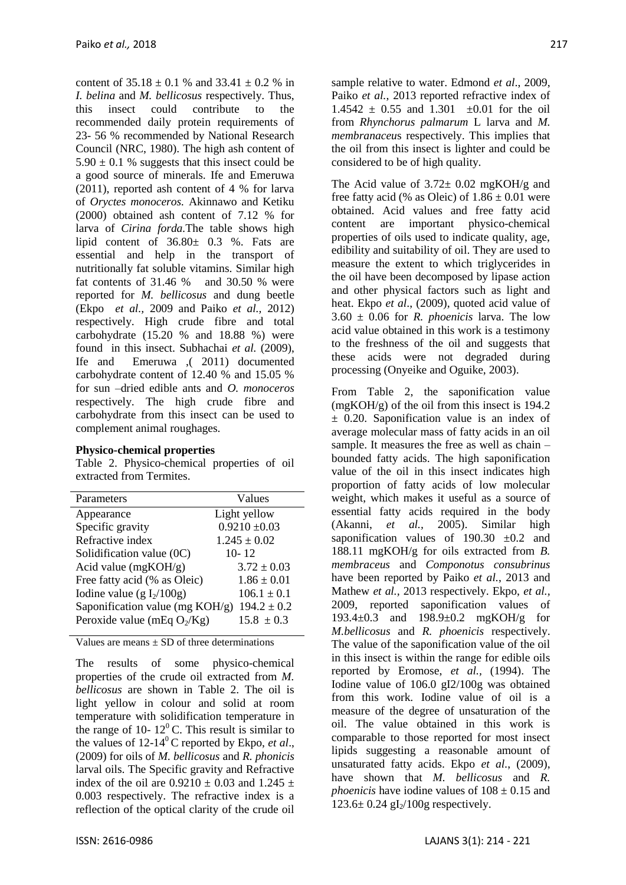content of  $35.18 \pm 0.1$  % and  $33.41 \pm 0.2$  % in *I. belina* and *M. bellicosus* respectively. Thus, this insect could contribute to the recommended daily protein requirements of 23- 56 % recommended by National Research Council (NRC, 1980). The high ash content of  $5.90 \pm 0.1$  % suggests that this insect could be a good source of minerals. Ife and Emeruwa (2011), reported ash content of 4 % for larva of *Oryctes monoceros.* Akinnawo and Ketiku (2000) obtained ash content of 7.12 % for larva of *Cirina forda.*The table shows high lipid content of 36.80± 0.3 %. Fats are essential and help in the transport of nutritionally fat soluble vitamins. Similar high fat contents of 31.46 % and 30.50 % were reported for *M. bellicosus* and dung beetle (Ekpo *et al.,* 2009 and Paiko *et al.,* 2012) respectively. High crude fibre and total carbohydrate (15.20 % and 18.88 %) were found in this insect. Subhachai *et al.* (2009), Ife and Emeruwa ,( 2011) documented carbohydrate content of 12.40 % and 15.05 % for sun –dried edible ants and *O. monoceros* respectively. The high crude fibre and carbohydrate from this insect can be used to complement animal roughages.

#### **Physico-chemical properties**

Table 2. Physico-chemical properties of oil extracted from Termites.

| Values                                             |
|----------------------------------------------------|
| Light yellow                                       |
| $0.9210 \pm 0.03$                                  |
| $1.245 \pm 0.02$                                   |
| $10 - 12$                                          |
| $3.72 \pm 0.03$                                    |
| $1.86 \pm 0.01$                                    |
| $106.1 \pm 0.1$                                    |
| Saponification value (mg KOH/g)<br>$194.2 \pm 0.2$ |
| $15.8 \pm 0.3$                                     |
|                                                    |

Values are means  $\pm$  SD of three determinations

The results of some physico-chemical properties of the crude oil extracted from *M. bellicosus* are shown in Table 2. The oil is light yellow in colour and solid at room temperature with solidification temperature in the range of 10-  $12^{\circ}$ C. This result is similar to the values of 12-14<sup>0</sup> C reported by Ekpo, *et al*., (2009) for oils of *M. bellicosus* and *R. phonicis* larval oils. The Specific gravity and Refractive index of the oil are  $0.9210 \pm 0.03$  and  $1.245 \pm 1.00$ 0.003 respectively. The refractive index is a reflection of the optical clarity of the crude oil sample relative to water. Edmond *et al*., 2009, Paiko *et al.*, 2013 reported refractive index of  $1.4542 \pm 0.55$  and  $1.301 \pm 0.01$  for the oil from *Rhynchorus palmarum* L larva and *M. membranaceu*s respectively. This implies that the oil from this insect is lighter and could be considered to be of high quality.

The Acid value of  $3.72 \pm 0.02$  mgKOH/g and free fatty acid (% as Oleic) of  $1.86 \pm 0.01$  were obtained. Acid values and free fatty acid content are important physico-chemical properties of oils used to indicate quality, age, edibility and suitability of oil. They are used to measure the extent to which triglycerides in the oil have been decomposed by lipase action and other physical factors such as light and heat. Ekpo *et al*., (2009), quoted acid value of  $3.60 \pm 0.06$  for *R. phoenicis* larva. The low acid value obtained in this work is a testimony to the freshness of the oil and suggests that these acids were not degraded during processing (Onyeike and Oguike, 2003).

From Table 2, the saponification value (mgKOH/g) of the oil from this insect is 194.2 ± 0.20. Saponification value is an index of average molecular mass of fatty acids in an oil sample. It measures the free as well as chain – bounded fatty acids. The high saponification value of the oil in this insect indicates high proportion of fatty acids of low molecular weight, which makes it useful as a source of essential fatty acids required in the body (Akanni, *et al.,* 2005). Similar high saponification values of  $190.30 \pm 0.2$  and 188.11 mgKOH/g for oils extracted from *B. membraceus* and *Componotus consubrinus* have been reported by Paiko *et al.*, 2013 and Mathew *et al.,* 2013 respectively. Ekpo, *et al.,* 2009, reported saponification values of 193.4±0.3 and 198.9±0.2 mgKOH/g for *M.bellicosus* and *R. phoenicis* respectively. The value of the saponification value of the oil in this insect is within the range for edible oils reported by Eromose, *et al.,* (1994). The Iodine value of 106.0 gI2/100g was obtained from this work. Iodine value of oil is a measure of the degree of unsaturation of the oil. The value obtained in this work is comparable to those reported for most insect lipids suggesting a reasonable amount of unsaturated fatty acids. Ekpo *et al.*, (2009), have shown that *M. bellicosus* and *R. phoenicis* have iodine values of  $108 \pm 0.15$  and  $123.6 \pm 0.24$  gI<sub>2</sub>/100g respectively.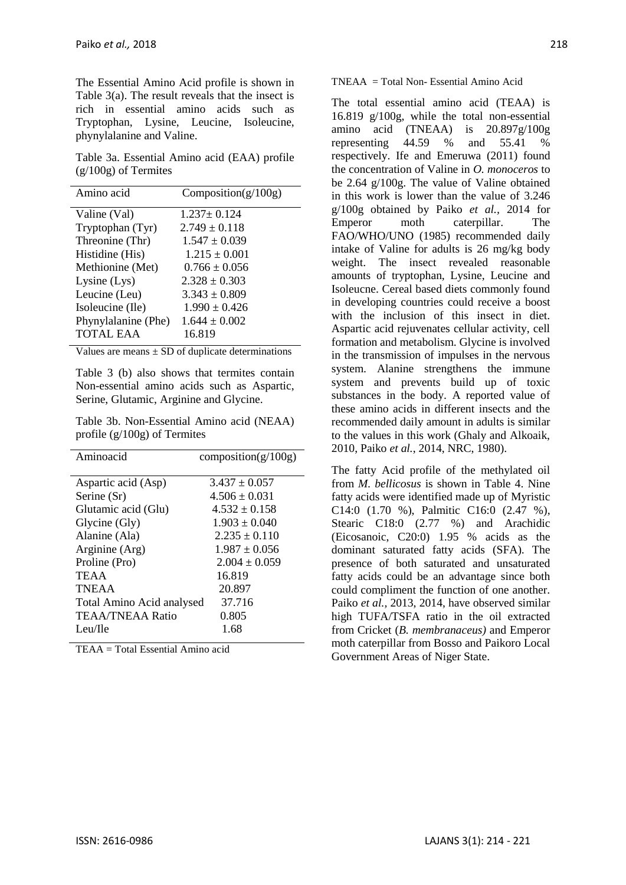The Essential Amino Acid profile is shown in Table 3(a). The result reveals that the insect is rich in essential amino acids such as Tryptophan, Lysine, Leucine, Isoleucine, phynylalanine and Valine.

Table 3a. Essential Amino acid (EAA) profile (g/100g) of Termites

| Amino acid          | Composition( $g/100g$ ) |
|---------------------|-------------------------|
| Valine (Val)        | $1.237 \pm 0.124$       |
| Tryptophan (Tyr)    | $2.749 \pm 0.118$       |
| Threonine (Thr)     | $1.547 \pm 0.039$       |
| Histidine (His)     | $1.215 \pm 0.001$       |
| Methionine (Met)    | $0.766 \pm 0.056$       |
| Lysine $(Lys)$      | $2.328 \pm 0.303$       |
| Leucine (Leu)       | $3.343 \pm 0.809$       |
| Isoleucine (Ile)    | $1.990 \pm 0.426$       |
| Phynylalanine (Phe) | $1.644 \pm 0.002$       |
| <b>TOTAL EAA</b>    | 16.819                  |

Values are means  $\pm$  SD of duplicate determinations

Table 3 (b) also shows that termites contain Non-essential amino acids such as Aspartic, Serine, Glutamic, Arginine and Glycine.

Table 3b. Non-Essential Amino acid (NEAA) profile (g/100g) of Termites

| Aminoacid                 | composition( $g/100g$ ) |  |
|---------------------------|-------------------------|--|
|                           |                         |  |
| Aspartic acid (Asp)       | $3.437 \pm 0.057$       |  |
| Serine (Sr)               | $4.506 \pm 0.031$       |  |
| Glutamic acid (Glu)       | $4.532 \pm 0.158$       |  |
| Glycine (Gly)             | $1.903 + 0.040$         |  |
| Alanine (Ala)             | $2.235 + 0.110$         |  |
| Arginine (Arg)            | $1.987 + 0.056$         |  |
| Proline (Pro)             | $2.004 + 0.059$         |  |
| <b>TEAA</b>               | 16.819                  |  |
| <b>TNEAA</b>              | 20.897                  |  |
| Total Amino Acid analysed | 37.716                  |  |
| TEAA/TNEAA Ratio          | 0.805                   |  |
| Leu/Ile                   | 1.68                    |  |
|                           |                         |  |

TEAA = Total Essential Amino acid

TNEAA = Total Non- Essential Amino Acid

The total essential amino acid (TEAA) is 16.819 g/100g, while the total non-essential amino acid (TNEAA) is 20.897g/100g representing 44.59 % and 55.41 % respectively. Ife and Emeruwa (2011) found the concentration of Valine in *O. monoceros* to be 2.64 g/100g. The value of Valine obtained in this work is lower than the value of 3.246 g/100g obtained by Paiko *et al.,* 2014 for Emperor moth caterpillar. The FAO/WHO/UNO (1985) recommended daily intake of Valine for adults is 26 mg/kg body weight. The insect revealed reasonable amounts of tryptophan, Lysine, Leucine and Isoleucne. Cereal based diets commonly found in developing countries could receive a boost with the inclusion of this insect in diet. Aspartic acid rejuvenates cellular activity, cell formation and metabolism. Glycine is involved in the transmission of impulses in the nervous system. Alanine strengthens the immune system and prevents build up of toxic substances in the body. A reported value of these amino acids in different insects and the recommended daily amount in adults is similar to the values in this work (Ghaly and Alkoaik, 2010, Paiko *et al.*, 2014, NRC, 1980).

The fatty Acid profile of the methylated oil from *M. bellicosus* is shown in Table 4. Nine fatty acids were identified made up of Myristic C14:0 (1.70 %), Palmitic C16:0 (2.47 %), Stearic C18:0 (2.77 %) and Arachidic (Eicosanoic, C20:0) 1.95 % acids as the dominant saturated fatty acids (SFA). The presence of both saturated and unsaturated fatty acids could be an advantage since both could compliment the function of one another. Paiko *et al.,* 2013, 2014, have observed similar high TUFA/TSFA ratio in the oil extracted from Cricket (*B. membranaceus)* and Emperor moth caterpillar from Bosso and Paikoro Local Government Areas of Niger State.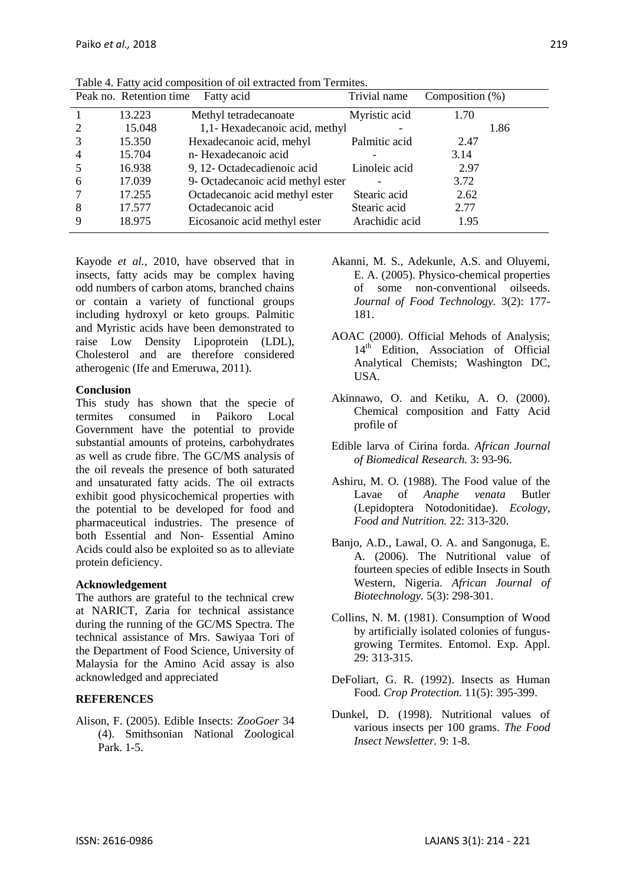|                | Peak no. Retention time | Fatty acid                        | Trivial name   | Composition $(\%)$ |
|----------------|-------------------------|-----------------------------------|----------------|--------------------|
|                | 13.223                  | Methyl tetradecanoate             | Myristic acid  | 1.70               |
| 2              | 15.048                  | 1,1- Hexadecanoic acid, methyl    |                | 1.86               |
| 3              | 15.350                  | Hexadecanoic acid, mehyl          | Palmitic acid  | 2.47               |
| $\overline{4}$ | 15.704                  | n-Hexadecanoic acid               |                | 3.14               |
| .5             | 16.938                  | 9, 12- Octadecadienoic acid       | Linoleic acid  | 2.97               |
| 6              | 17.039                  | 9- Octadecanoic acid methyl ester |                | 3.72               |
|                | 17.255                  | Octadecanoic acid methyl ester    | Stearic acid   | 2.62               |
| 8              | 17.577                  | Octadecanoic acid                 | Stearic acid   | 2.77               |
| 9              | 18.975                  | Eicosanoic acid methyl ester      | Arachidic acid | 1.95               |

Table 4. Fatty acid composition of oil extracted from Termites.

Kayode *et al.,* 2010, have observed that in insects, fatty acids may be complex having odd numbers of carbon atoms, branched chains or contain a variety of functional groups including hydroxyl or keto groups. Palmitic and Myristic acids have been demonstrated to raise Low Density Lipoprotein (LDL), Cholesterol and are therefore considered atherogenic (Ife and Emeruwa, 2011).

#### **Conclusion**

This study has shown that the specie of termites consumed in Paikoro Local Government have the potential to provide substantial amounts of proteins, carbohydrates as well as crude fibre. The GC/MS analysis of the oil reveals the presence of both saturated and unsaturated fatty acids. The oil extracts exhibit good physicochemical properties with the potential to be developed for food and pharmaceutical industries. The presence of both Essential and Non- Essential Amino Acids could also be exploited so as to alleviate protein deficiency.

## **Acknowledgement**

The authors are grateful to the technical crew at NARICT, Zaria for technical assistance during the running of the GC/MS Spectra. The technical assistance of Mrs. Sawiyaa Tori of the Department of Food Science, University of Malaysia for the Amino Acid assay is also acknowledged and appreciated

## **REFERENCES**

Alison, F. (2005). Edible Insects: *ZooGoer* 34 (4). Smithsonian National Zoological Park. 1-5.

- Akanni, M. S., Adekunle, A.S. and Oluyemi, E. A. (2005). Physico-chemical properties of some non-conventional oilseeds. *Journal of Food Technology.* 3(2): 177- 181.
- AOAC (2000). Official Mehods of Analysis; 14<sup>th</sup> Edition, Association of Official Analytical Chemists; Washington DC, USA.
- Akinnawo, O. and Ketiku, A. O. (2000). Chemical composition and Fatty Acid profile of
- Edible larva of Cirina forda. *African Journal of Biomedical Research.* 3: 93-96.
- Ashiru, M. O. (1988). The Food value of the Lavae of *Anaphe venata* Butler (Lepidoptera Notodonitidae). *Ecology, Food and Nutrition.* 22: 313-320.
- Banjo, A.D., Lawal, O. A. and Sangonuga, E. A. (2006). The Nutritional value of fourteen species of edible Insects in South Western, Nigeria. *African Journal of Biotechnology.* 5(3): 298-301.
- Collins, N. M. (1981). Consumption of Wood by artificially isolated colonies of fungusgrowing Termites. Entomol. Exp. Appl. 29: 313-315.
- DeFoliart, G. R. (1992). Insects as Human Food. *Crop Protection.* 11(5): 395-399.
- Dunkel, D. (1998). Nutritional values of various insects per 100 grams. *The Food Insect Newsletter.* 9: 1-8.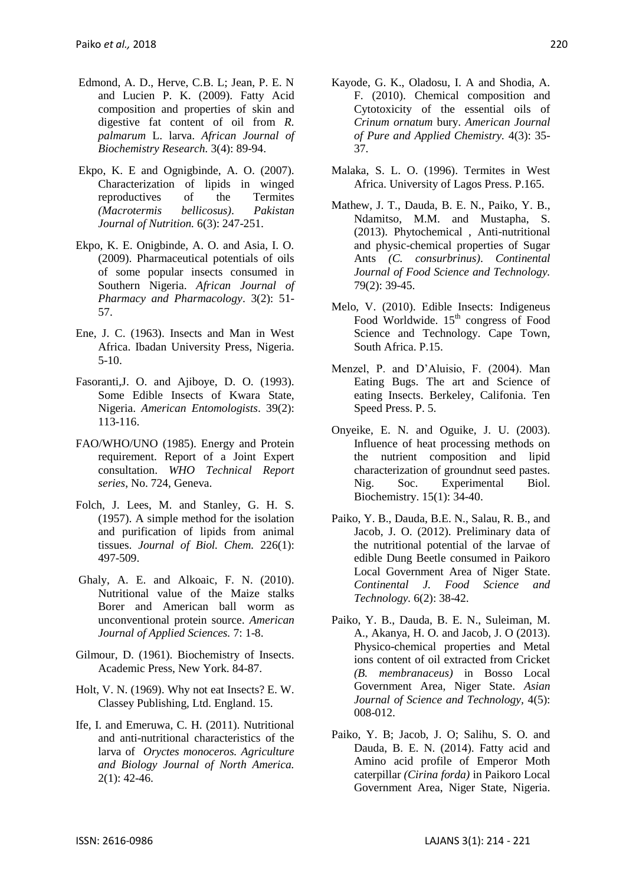- Edmond, A. D., Herve, C.B. L; Jean, P. E. N and Lucien P. K. (2009). Fatty Acid composition and properties of skin and digestive fat content of oil from *R. palmarum* L. larva. *African Journal of Biochemistry Research.* 3(4): 89-94.
- Ekpo, K. E and Ognigbinde, A. O. (2007). Characterization of lipids in winged reproductives of the Termites *(Macrotermis bellicosus)*. *Pakistan Journal of Nutrition.* 6(3): 247-251.
- Ekpo, K. E. Onigbinde, A. O. and Asia, I. O. (2009). Pharmaceutical potentials of oils of some popular insects consumed in Southern Nigeria. *African Journal of Pharmacy and Pharmacology*. 3(2): 51- 57.
- Ene, J. C. (1963). Insects and Man in West Africa. Ibadan University Press, Nigeria. 5-10.
- Fasoranti,J. O. and Ajiboye, D. O. (1993). Some Edible Insects of Kwara State, Nigeria. *American Entomologists*. 39(2): 113-116.
- FAO/WHO/UNO (1985). Energy and Protein requirement. Report of a Joint Expert consultation. *WHO Technical Report series*, No. 724, Geneva.
- Folch, J. Lees, M. and Stanley, G. H. S. (1957). A simple method for the isolation and purification of lipids from animal tissues. *Journal of Biol. Chem.* 226(1): 497-509.
- Ghaly, A. E. and Alkoaic, F. N. (2010). Nutritional value of the Maize stalks Borer and American ball worm as unconventional protein source. *American Journal of Applied Sciences.* 7: 1-8.
- Gilmour, D. (1961). Biochemistry of Insects. Academic Press, New York. 84-87.
- Holt, V. N. (1969). Why not eat Insects? E. W. Classey Publishing, Ltd. England. 15.
- Ife, I. and Emeruwa, C. H. (2011). Nutritional and anti-nutritional characteristics of the larva of *Oryctes monoceros. Agriculture and Biology Journal of North America.*  $2(1)$ : 42-46.
- Kayode, G. K., Oladosu, I. A and Shodia, A. F. (2010). Chemical composition and Cytotoxicity of the essential oils of *Crinum ornatum* bury. *American Journal of Pure and Applied Chemistry.* 4(3): 35- 37.
- Malaka, S. L. O. (1996). Termites in West Africa. University of Lagos Press. P.165.
- Mathew, J. T., Dauda, B. E. N., Paiko, Y. B., Ndamitso, M.M. and Mustapha, S. (2013). Phytochemical , Anti-nutritional and physic-chemical properties of Sugar Ants *(C. consurbrinus)*. *Continental Journal of Food Science and Technology.* 79(2): 39-45.
- Melo, V. (2010). Edible Insects: Indigeneus Food Worldwide.  $15<sup>th</sup>$  congress of Food Science and Technology. Cape Town, South Africa. P.15.
- Menzel, P. and D'Aluisio, F. (2004). Man Eating Bugs. The art and Science of eating Insects. Berkeley, Califonia. Ten Speed Press. P. 5.
- Onyeike, E. N. and Oguike, J. U. (2003). Influence of heat processing methods on the nutrient composition and lipid characterization of groundnut seed pastes. Nig. Soc. Experimental Biol. Biochemistry. 15(1): 34-40.
- Paiko, Y. B., Dauda, B.E. N., Salau, R. B., and Jacob, J. O. (2012). Preliminary data of the nutritional potential of the larvae of edible Dung Beetle consumed in Paikoro Local Government Area of Niger State. *Continental J. Food Science and Technology.* 6(2): 38-42.
- Paiko, Y. B., Dauda, B. E. N., Suleiman, M. A., Akanya, H. O. and Jacob, J. O (2013). Physico-chemical properties and Metal ions content of oil extracted from Cricket *(B. membranaceus)* in Bosso Local Government Area, Niger State. *Asian Journal of Science and Technology,* 4(5): 008-012.
- Paiko, Y. B; Jacob, J. O; Salihu, S. O. and Dauda, B. E. N. (2014). Fatty acid and Amino acid profile of Emperor Moth caterpillar *(Cirina forda)* in Paikoro Local Government Area, Niger State, Nigeria.